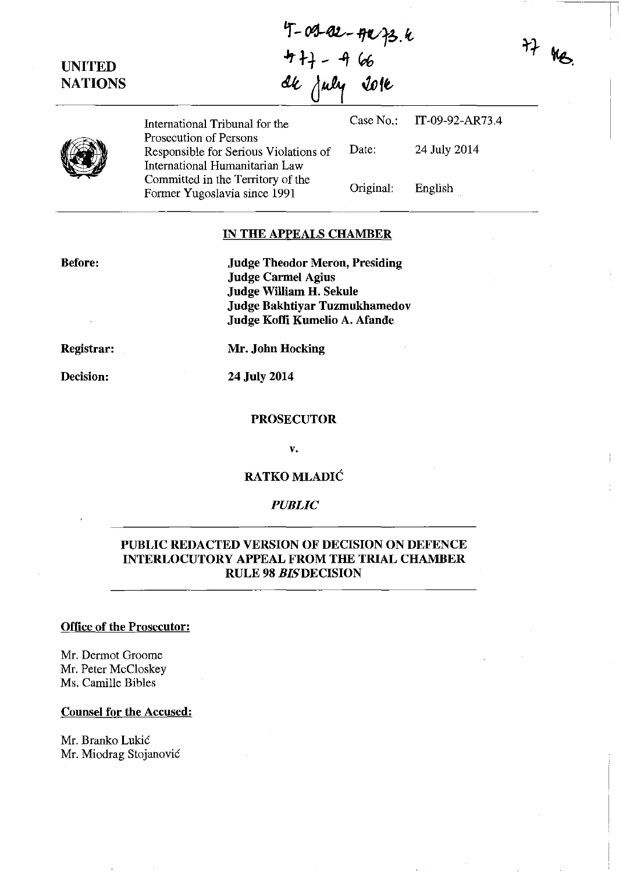UNITED **NATIONS** 4+} - 4 66 ak july 2016 International Tribunal for the Case No.: IT-09-92-AR73.4 Prosecution of Persons Responsible for Serious Violations of Date: 24 July 2014 International Humanitarian Law Committed in the Territory of the Former Yugoslavia since 1991 Original: English  $77 \text{ }\mu\text{g}$ 

 $4-09-82-992+36$ 

···---r

## IN THE APPEALS CHAMBER

Before:

Judge Theodor Meron, Presiding Judge Carmel Agius Judge William H. Sekule Judge Bakhtiyar Tuzmukhamedov Judge Koffi Kumelio A. Afande

Registrar:

Mr. John Hocking

24 July 2014

#### PROSECUTOR

v.

## RATKO MLADIĆ

#### *PUBLIC*

## PUBLIC REDACTED VERSION OF DECISION ON DEFENCE INTERLOCUTORY APPEAL FROM THE TRIAL CHAMBER RULE 98 *BISDECISION*

#### Office of the Prosecutor:

Mr. Dermot Groome Mr. Peter McCloskey Ms. Camille Bibles

#### Counsel for the Accused:

Mr. Branko Lukic Mr. Miodrag Stojanović

Decision: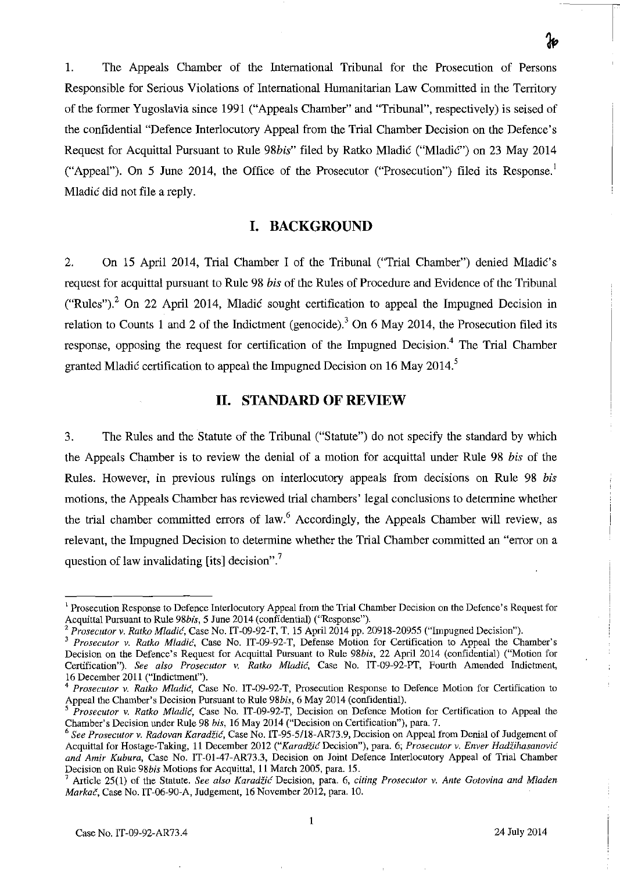1. The Appeals Chamber of the International Tribunal for the Prosecution of Persons Responsible for Serious Violations of International Humanitarian Law Committed in the Territory of the former Yugoslavia since 1991 ("Appeals Chamber" and "Tribunal", respectively) is seised of the confidential "Defence Interlocutory Appeal from the Trial Chamber Decision on the Defence's Request for Acquittal Pursuant to Rule 98bis" filed by Ratko Mladić ("Mladić") on 23 May 2014 ("Appeal"). On 5 June 2014, the Office of the Prosecutor ("Prosecution") filed its Response.

Mladic did not file a reply.

# **I. BACKGROUND**

2. On 15 April 2014, Trial Chamber I of the Tribunal ("Trial Chamber") denied Mladic's request for acquittal pursuant to Rule 98 *his* of the Rules of Procedure and Evidence of the Tribunal ("Rules").<sup>2</sup> On 22 April 2014, Mladic sought certification to appeal the Impugned Decision in relation to Counts 1 and 2 of the Indictment (genocide).<sup>3</sup> On 6 May 2014, the Prosecution filed its response, opposing the request for certification of the Impugned Decision.<sup>4</sup> The Trial Chamber granted Mladić certification to appeal the Impugned Decision on 16 May 2014.<sup>5</sup>

## **II. STANDARD OF REVIEW**

3. The Rules and the Statute of the Tribunal ("Statute") do not specify the standard by which the Appeals Chamber is to review the denial of a motion for acquittal under Rule 98 *his* of the Rules. However, in previous rulings on interlocutory appeals from decisions on Rule 98 *his*  motions, the Appeals Chamber has reviewed trial chambers' legal conclusions to determine whether the trial chamber committed errors of law.<sup>6</sup> Accordingly, the Appeals Chamber will review, as relevant, the Impugned Decision to determine whether the Trial Chamber committed an "error on a question of law invalidating [its] decision". $\frac{7}{1}$ 

<sup>&</sup>lt;sup>1</sup> Prosecution Response to Defence Interlocutory Appeal from the Trial Chamber Decision on the Defence's Request for Acquittal Pursuant to Rule *98bis,* 5 June 2014 (confidential) ("Response").

*<sup>2</sup> Prosecutor* v. *Ratko Mladic,* Case No. IT-09-92-T, T. 15 Apri12014 pp. 20918-20955 ("Impugned Decision").

*<sup>3</sup> Prosecutor* v. *Ratko Mladic,* Case No. IT-09-92-T, Defense Motion for Certification to Appeal the Chamber's Decision on the Defence's Request for Acquittal Pursuant to Rule *98bis,* 22 April 2014 (confidential) ("Motion for Certification"). *See also Prosecutor* v. *Ratko Mladic.* Case No. IT-09-92-PT, Fourth Amended Indictment, 16 December 2011 ("Indictment").

<sup>4</sup>*Prosecutor* v. *Ratko Mladic,* Case No. IT-09-92-T, Prosecution Response to Defence Motion for Certification to Appeal the Chamber's Decision Pursuant to Rule *98bis,* 6 May 2014 (confidential).

*Prosecutor v. Ratko Mladić*, Case No. IT-09-92-T, Decision on Defence Motion for Certification to Appeal the Chamber's Decision under Rule 98 *his,* 16 May 2014 ("Decision on Certification"), para. 7.

*<sup>6</sup> See Prosecutor v. Radovan Karadiic,* Case No. IT-95·5/18-AR73.9, Decision on Appeal from Denial of Judgement of Acquittal for Hostage-Taking, 11 December 2012 *("Karadžić Decision"), para. 6; Prosecutor v. Enver Hadžihasanović and Amir Kubura,* Case No. IT-01-47-AR73.3, Decision on Joint Defence Interlocutory Appeal of Trial Chamber Decision on Rule *98bis* Motions for Acquittal. 11 March 2005, para. 15.

Article 25(1) of the Statute. See also Karadžić Decision, para. 6, *citing Prosecutor v. Ante Gotovina and Mladen Markai',* Case No. IT-06-90-A, Judgement, 16 November 2012, para. 10.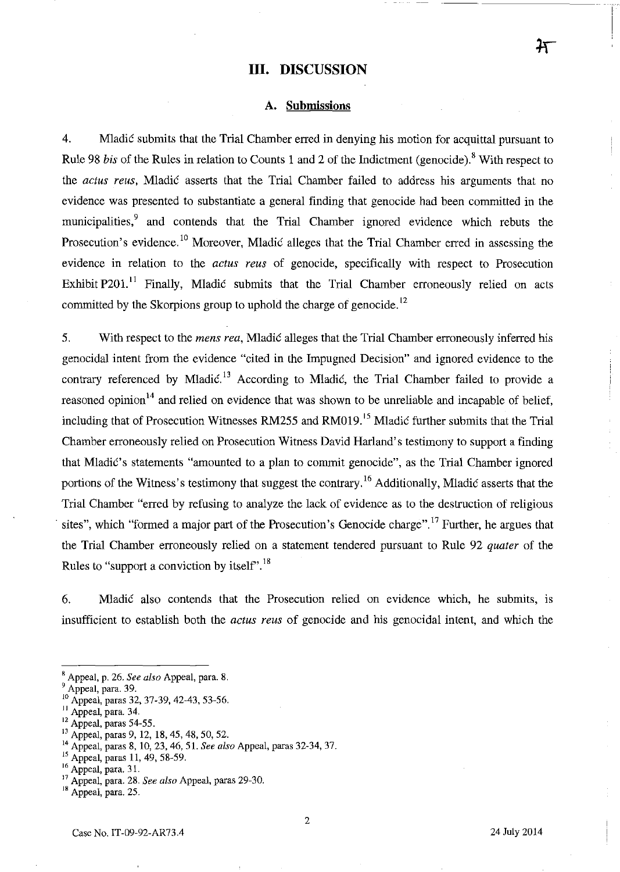### **III. DISCUSSION**

#### **A. Submissions**

4. Mladic submits that the Trial Chamber erred **in** denying his motion for acquittal pursuant to Rule 98 *bis* of the Rules in relation to Counts 1 and 2 of the Indictment (genocide).<sup>8</sup> With respect to the *actus reus,* Mladic asserts that the Trial Chamber failed to address his arguments that no evidence was presented to substantiate a general finding that genocide had been committed in the municipalities,<sup>9</sup> and contends that the Trial Chamber ignored evidence which rebuts the Prosecution's evidence.<sup>10</sup> Moreover, Mladic alleges that the Trial Chamber erred in assessing the evidence in relation to the *actus reus* of genocide, specifically with respect to Prosecution Exhibit P201.<sup>11</sup> Finally, Mladić submits that the Trial Chamber erroneously relied on acts committed by the Skorpions group to uphold the charge of genocide.<sup>12</sup>

5. With respect to the *mens rea,* Mladic alleges that the Trial Chamber erroneously inferred his genocidal intent from the evidence "cited in the hnpugned Decision" and ignored evidence to the contrary referenced by Mladić.<sup>13</sup> According to Mladić, the Trial Chamber failed to provide a reasoned opinion<sup>14</sup> and relied on evidence that was shown to be unreliable and incapable of belief, including that of Prosecution Witnesses RM255 and RM019.<sup>15</sup> Mladić further submits that the Trial Chamber erroneously relied on Prosecution Witness David Harland's testimony to support a finding that Mladić's statements "amounted to a plan to commit genocide", as the Trial Chamber ignored portions of the Witness's testimony that suggest the contrary.<sup>16</sup> Additionally, Mladic asserts that the Trial Chamber "erred by refusing to analyze the lack of evidence as to the destruction of religious sites", which "formed a major part of the Prosecution's Genocide charge".<sup>17</sup> Further, he argues that the Trial Chamber erroneously relied on a statement tendered pursuant to Rule 92 *quater* of the Rules to "support a conviction by itself".<sup>18</sup>

6. MladiC also contends that the Prosecution relied on evidence which, he submits, is insufficient to establish both the *actus reus* of genocide and his genocidal intent, and which the

<sup>13</sup> Appeal, paras 9, 12, 18, 45, 48, 50, 52.

<sup>,</sup> Appeal, p. 26. *See also* Appeal, para. 8.

Appeal, para. 39.

<sup>&</sup>lt;sup>10</sup> Appeal, paras 32, 37-39, 42-43, 53-56.

II Appeal, para. 34.

<sup>&</sup>lt;sup>12</sup> Appeal, paras 54-55.

<sup>14</sup> Appeal, paras 8,10,23,46,51. *See also* Appeal, paras 32-34, 37.

<sup>&</sup>lt;sup>15</sup> Appeal, paras 11, 49, 58-59.

 $^{16}$  Appeal, para. 31.

<sup>17</sup> Appeal, para. 28. *See also* Appeal, paras 29-30.

<sup>18</sup> Appeal, para. 25.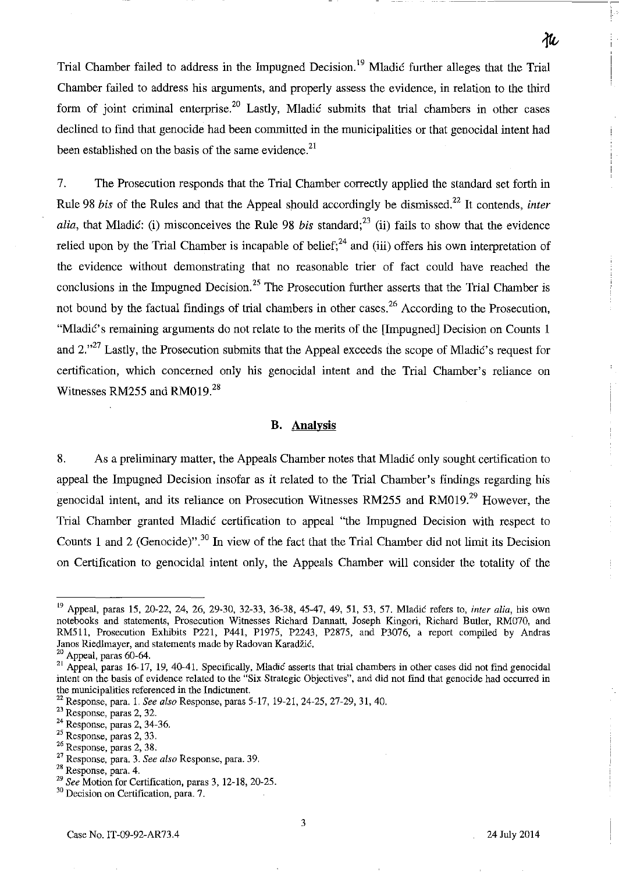Trial Chamber failed to address in the Impugned Decision.<sup>19</sup> Mladić further alleges that the Trial Chamber failed to address his arguments, and properly assess the evidence, in relation to the third form of joint criminal enterprise.<sup>20</sup> Lastly, Mladić submits that trial chambers in other cases declined to find that genocide had been committed in the municipalities or that genocidal intent had been established on the basis of the same evidence.<sup>21</sup>

7. The Prosecution responds that the Trial Chamber correctly applied the standard set forth in Rule 98 *bis* of the Rules and that the Appeal should accordingly be dismissed.<sup>22</sup> It contends, *inter alia,* that Mladić: (i) misconceives the Rule 98 *bis* standard;<sup>23</sup> (ii) fails to show that the evidence relied upon by the Trial Chamber is incapable of belief;<sup>24</sup> and (iii) offers his own interpretation of the evidence without demonstrating that no reasonable trier of fact could have reached the conclusions in the Impugned Decision.<sup>25</sup> The Prosecution further asserts that the Trial Chamber is not bound by the factual findings of trial chambers in other cases.<sup>26</sup> According to the Prosecution, "Mladić's remaining arguments do not relate to the merits of the [Impugned] Decision on Counts 1 and  $2.^{27}$  Lastly, the Prosecution submits that the Appeal exceeds the scope of Mladić's request for certification, which concerned only his genocidal intent and the Trial Chamber's reliance on Witnesses RM255 and RM019. $^{28}$ 

### **B. Analysis**

8. As a preliminary matter, the Appeals Chamber notes that Mladic only sought certification to appeal the Impugned Decision insofar as it related to the Trial Chamber's findings regarding his genocidal intent, and its reliance on Prosecution Witnesses RM255 and RM019.<sup>29</sup> However, the Trial Chamber granted Mladic certification to appeal "the Impugned Decision with respect to Counts 1 and 2 (Genocide)".30 **In** view of the fact that the Trial Chamber did not limit its Decision on Certification to genocidal intent only, the Appeals Chamber will consider the totality of the

21c

<sup>19</sup> Appeal, paras IS, 20-22, 24, 26, 29-30, 32-33, 36-38, 45-47, 49, 51, 53, 57. Mladic refers to, *inter alia,* his own notebooks and statements, Prosecution Witnesses Richard Dannatt, Joseph Kingori, Richard Butler, RM070, and RM511, Prosecution Exhibits P221, P441, P1975, P2243, P2875, and P3076, a report compiled by Andras Janos Riedlmayer, and statements made by Radovan Karadžić.

<sup>20</sup> Appeal, paras 60-64.

 $21$  Appeal, paras 16-17, 19, 40-41. Specifically, Mladic asserts that trial chambers in other cases did not find genocidal intent on the basis of evidence related to the "Six Strategic Objectives", and did not find that genocide had occurred in **the municipalities referenced in the Indictment.** 

<sup>22</sup> Response, para. 1. *See also* Response, paras 5-17, 19-21,24-25,27-29,31,40.

<sup>23</sup> Response, paras 2, 32.

<sup>24</sup> Response, paras 2, 34-36.

<sup>&</sup>lt;sup>25</sup> Response, paras 2, 33.

<sup>&</sup>lt;sup>26</sup> Response, paras 2, 38.

<sup>27</sup> Response, para. 3. *See also* Response, para. 39.

**<sup>28</sup> Response. para. 4.** 

*<sup>29</sup> See* Motion for Certification, paras 3, 12-18, 20-25.

**<sup>30</sup> Decision on Certification, para. 7.**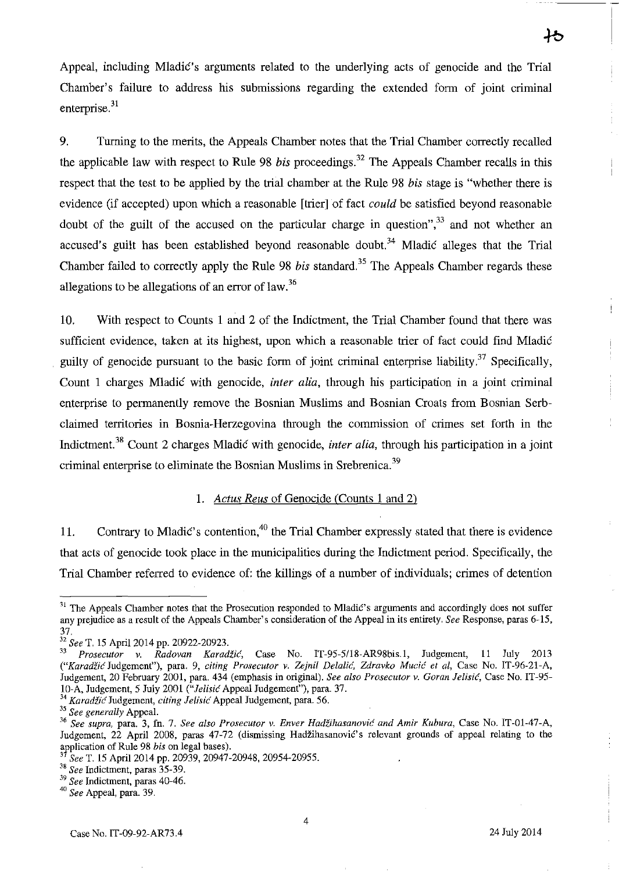Appeal, including Mladic's arguments related to the underlying acts of genocide and the Trial Chamber's failure to address his submissions regarding the extended form of joint criminal enterprise. $31$ 

9. Turning to the merits, the Appeals Chamber notes that the Trial Chamber correctly recalled the applicable law with respect to Rule 98 *bis* proceedings.<sup>32</sup> The Appeals Chamber recalls in this respect that the test to be applied by the trial chamber at the Rule 98 *his* stage is "whether there is evidence (if accepted) upon which a reasonable [trier] of fact *could* be satisfied beyond reasonable doubt of the guilt of the accused on the particular charge in question",  $33$  and not whether an accused's guilt has been established beyond reasonable doubt.<sup>34</sup> Mladic alleges that the Trial Chamber failed to correctly apply the Rule 98 *bis* standard.<sup>35</sup> The Appeals Chamber regards these allegations to be allegations of an error of law.<sup>36</sup>

10. With respect to Counts 1 and 2 of the Indictment, the Trial Chamber found that there was sufficient evidence, taken at its highest, upon which a reasonable trier of fact could find Mladic guilty of genocide pursuant to the basic form of joint criminal enterprise liability.<sup>37</sup> Specifically, Count 1 charges Mladić with genocide, *inter alia*, through his participation in a joint criminal enterprise to permanently remove the Bosnian Muslims and Bosnian Croats from Bosnian Serbclaimed territories in Bosnia-Herzegovina through the commission of crimes set forth in the Indictment. 38 Count 2 charges Mladic with genocide, *inter alia,* through his participation in a joint criminal enterprise to eliminate the Bosnian Muslims in Srebrenica.<sup>39</sup>

#### *1. Actus Reus* of Genocide (Counts 1 and 2)

11. Contrary to Mladić's contention,  $40$  the Trial Chamber expressly stated that there is evidence that acts of genocide took place in the municipalities during the Indictment period. Specifically, the Trial Chamber referred to evidence of: the killings of a number of individuals; crimes of detention

<sup>&</sup>lt;sup>31</sup> The Appeals Chamber notes that the Prosecution responded to Mladić's arguments and accordingly does not suffer any prejudice as a result of the Appeals Chamber's consideration of the Appeal in its entirety. *See* Response, paras 6-15, 37.

<sup>32</sup>*See* T. 15 April 2014 pp. 20922-20923.

*<sup>33</sup> Prosecutor v. Radovan Karadlic,* Case No. IT-95-5/18-AR98bis.l, Judgement, 11 July 2013 *("Karadiic* Judgement"), para. 9, *citing Prosecutor v. Zejnil Delalie, Zdravko Mucic et ai,* Case No. IT-96-21-A, Judgement, 20 February 2001, para. 434 (emphasis in original). *See also Prosecutor v. Goran lelisic,* Case No. IT-95 lO-A, Judgement, 5 July 2001 *("lelisic* Appeal Judgement"), para. 37.

<sup>34</sup>*Karadiic* Judgement, *citing lelisic* Appeal Judgement, para. 56.

<sup>&</sup>lt;sup>35</sup> See generally Appeal.

**<sup>36</sup>***See supra,* **para. 3, fn. 7.** *See also Prosecutor* **v.** *Enver HadZihasanovic and Amir Kubura,* **Case No. IT-Ol-47-A,**  JUdgement, 22 April 2008, paras 47-72 (dismissing Hadzihasanovic's relevant grounds of appeal relating to the application of Rule 98 *his* on legal bases).

<sup>3</sup>*See* T. 15 April 2014 pp. 20939, 20947-20948, 20954-20955.

<sup>38</sup>*See* Indictment, paras 35-39.

<sup>39</sup>*See* Indictment, paras 40-46.

<sup>40</sup>*See* Appeal, para. 39.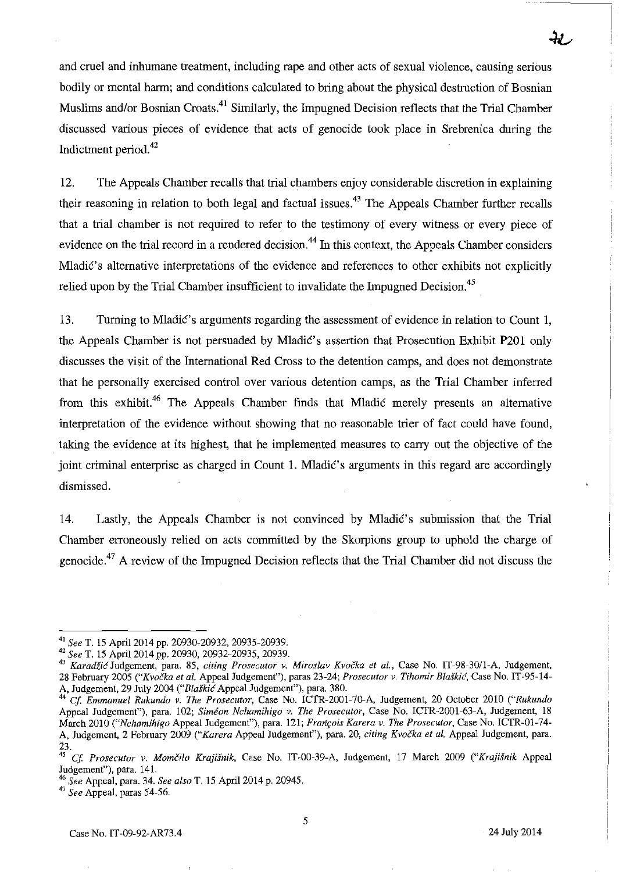and cruel and inhumane treatment, including rape and other acts of sexual violence, causing serious bodily or mental harm; and conditions calculated to bring about the physical destruction of Bosnian Muslims and/or Bosnian Croats.<sup>41</sup> Similarly, the Impugned Decision reflects that the Trial Chamber discussed various pieces of evidence that acts of genocide took place in Srebrenica during the Indictment period.<sup>42</sup>

12. The Appeals Chamber recalls that trial chambers enjoy considerable discretion in explaining their reasoning in relation to both legal and factual issues.43 The Appeals Chamber further recalls that a trial chamber is not required to refer to the testimony of every witness or every piece of evidence on the trial record in a rendered decision.<sup>44</sup> In this context, the Appeals Chamber considers Mladic's alternative interpretations of the evidence and references to other exhibits not explicitly relied upon by the Trial Chamber insufficient to invalidate the Impugned Decision.<sup>45</sup>

13. Turning to MladiC's arguments regarding the assessment of evidence in relation to Count I, the Appeals Chamber is not persuaded by Mladić's assertion that Prosecution Exhibit P201 only discusses the visit of the International Red Cross to the detention camps, and does not demonstrate that he personally exercised control over various detention camps, as the Trial Chamber inferred from this exhibit.<sup>46</sup> The Appeals Chamber finds that Mladic merely presents an alternative interpretation of the evidence without showing that no reasonable trier of fact could have found, taking the evidence at its highest, that he implemented measures to carry out the objective of the joint criminal enterprise as charged in Count 1. Mladić's arguments in this regard are accordingly dismissed.

14. Lastly, the Appeals Chamber is not convinced by Mladić's submission that the Trial Chamber erroneously relied on acts committed by the Skorpions group to uphold the charge of genocide 47 A review of the Impugned Decision reflects that the Trial Chamber did not discuss the

<sup>41</sup>*See* T. 15 Apri12014 pp. 20930-20932, 20935-20939.

<sup>42</sup>*See* T. 15 April 2014 pp. 20930, 20932-20935, 20939.

<sup>&</sup>lt;sup>43</sup> Karadžić Judgement, para. 85, *citing Prosecutor v. Miroslav Kvočka et al.*, Case No. IT-98-30/1-A, Judgement, 28 February 2005 *("Kvoi'ka et al.* Appeal Judgement"), paras 23-24; *Prosecutor v. Tihomir Bla.fkid,* Case No. IT-95-14- A, Judgement, 29 July 2004 *("Bla.fkic* Appeal Judgement"), para. 380.

*<sup>44</sup> Cf Emmanuel Rukundo v. The Prosecutor,* Case No. ICTR-2001-70-A, Judgement, 20 October 2010 *("Rukundo*  Appeal Judgement"), para. 102; *Simeon Nchamihigo v. The Prosecutor,* Case No. ICTR-2001-63-A, Judgement, 18 March 2010 *("Nchamihigo* Appeal Judgement"), para. 121; *Franrois Karera v. The Prosecutor,* Case No. ICTR-01-74- A, Judgement, 2 February 2009 ("Karera Appeal Judgement"), para. 20, *citing Kvočka et al.* Appeal Judgement, para. 23.

*<sup>45</sup>*Cf *Prosecutor v. Momi'ilo Krajisnik,* Case No. IT-00-39-A, Judgement, 17 March 2009 *("Krajisnik* Appeal Judgement"), para. 141.

*<sup>46</sup> See* Appeal, para. 34. *See also* T. 15 April 2014 p. 20945.

<sup>47</sup>*See* Appeal, paras 54-56.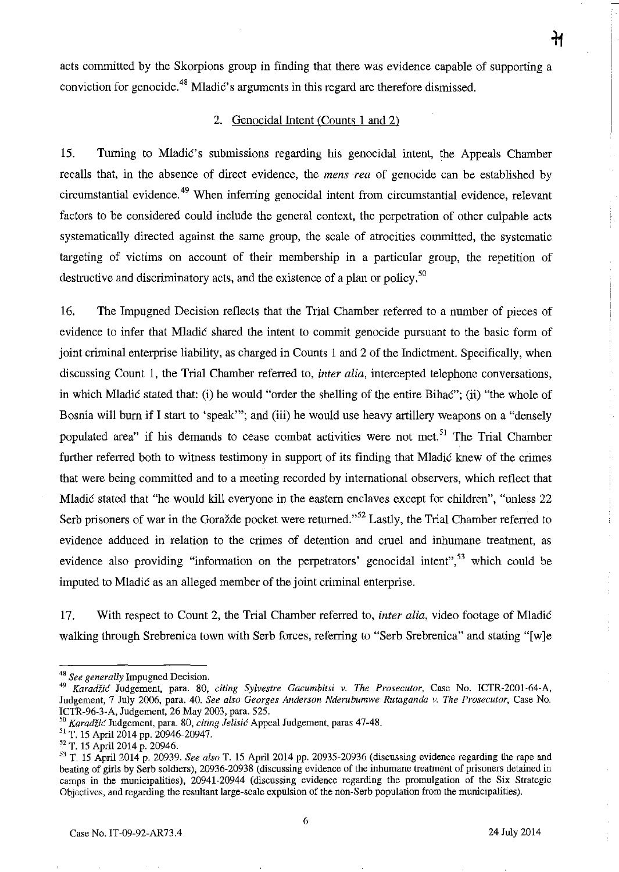acts committed by the Skorpions group in finding that there was evidence capable of supporting a conviction for genocide.<sup>48</sup> Mladic's arguments in this regard are therefore dismissed.

#### 2. Genocidal Intent (Counts 1 and 2)

15. Turning to Mladic's submissions regarding his genocidal intent, the Appeals Chamber recalls that, in the absence of direct evidence, the *mens rea* of genocide can be established by circumstantial evidence. 49 When inferring genocidal intent from circumstantial evidence, relevant factors to be considered could include the general context, the perpetration of other culpable acts systematically directed against the same group, the scale of atrocities committed, the systematic targeting of victims on account of their membership in a particular group, the repetition of destructive and discriminatory acts, and the existence of a plan or policy.<sup>50</sup>

16. The Impugned Decision reflects that the Trial Chamber referred to a number of pieces of evidence to infer that Mladic shared the intent to commit genocide pursuant to the basic form of joint criminal enterprise liability, as charged in Counts 1 and 2 of the Indictment. Specifically, when discussing Count 1, the Trial Chamber referred to, *inter alia,* intercepted telephone conversations, in which Mladic stated that: (i) he would "order the shelling of the entire Bihac"; (ii) "the whole of Bosnia will burn if I start to 'speak'"; and (iii) he would use heavy artillery weapons on a "densely populated area" if his demands to cease combat activities were not met.<sup>51</sup> The Trial Chamber further referred both to witness testimony in support of its finding that Mladic knew of the crimes that were being committed and to a meeting recorded by international observers, which reflect that Mladic stated that "he would kill everyone in the eastern enclaves except for children", "unless 22 Serb prisoners of war in the Goražde pocket were returned.<sup>552</sup> Lastly, the Trial Chamber referred to evidence adduced in relation to the crimes of detention and cruel and inhumane treatment, as evidence also providing "information on the perpetrators' genocidal intent",<sup>53</sup> which could be imputed to Mladic as an alleged member of the joint criminal enterprise.

17. With respect to Count 2, the Trial Chamber referred to, *inter alia,* video footage of Mladic walking through Srebrenica town with Serb forces, referring to "Serb Srebrenica" and stating "[w]e

*<sup>48</sup> See generally* Impugned Decision.

*<sup>49</sup> Karadiic* Judgement, para. 80, *citing Sylvestre Gacumbitsi* v. *The Prosecutor,* Case No. ICTR-200l-64-A, Judgement, 7 July 2006, para. 40. *See also Georges Anderson Nderubumwe Rutoganda* v. *The Prosecutor,* Case No. ICTR-96-3-A, Judgement, 26 May 2003, para. 525.

<sup>&</sup>lt;sup>3</sup> Karadžić Judgement, para. 80, *citing Jelisić* Appeal Judgement, paras 47-48.

<sup>51</sup> T. 15 April 2014 pp. 20946-20947.

<sup>52</sup> T. IS April 2014 p. 20946.

<sup>53</sup> T. IS April 2014 p. 20939. *See also* T. IS April 2014 pp. 20935-20936 (discussing evidence regarding the rape and beating of girls by Serb soldiers), 20936-20938 (discussing evidence of the inhumane treatment of prisoners detained in camps in the municipalities), 20941·20944 (discussing evidence regarding the promulgation of the Six Strategic Objectives, and regarding the resultant large-scale expUlsion of the non-Serb population from the municipalities).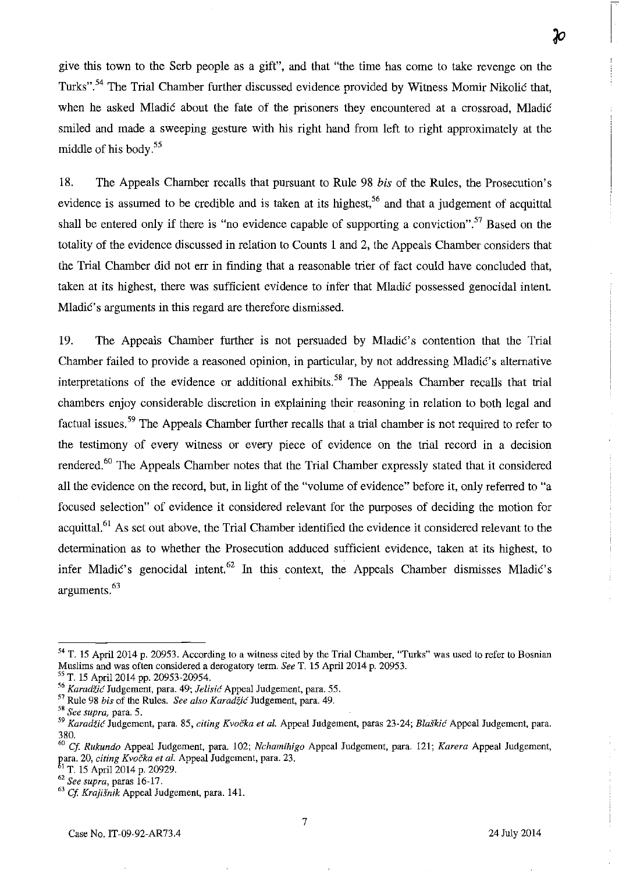give this town to the Serb people as a gift", and that "the time has come to take revenge on the Turks".54 The Trial Chamber further discussed evidence provided by Witness Momir Nikolic that, when he asked Mladić about the fate of the prisoners they encountered at a crossroad, Mladić smiled and made a sweeping gesture with his right hand from left to right approximately at the

middle of his body. 55

18. The Appeals Chamber recalls that pursuant to Rule 98 *his* of the Rules, the Prosecution's evidence is assumed to be credible and is taken at its highest,<sup>56</sup> and that a judgement of acquittal shall be entered only if there is "no evidence capable of supporting a conviction".<sup>57</sup> Based on the totality of the evidence discussed in relation to Counts 1 and 2, the Appeals Chamber considers that the Trial Chamber did not err in finding that a reasonable trier of fact could have concluded that, taken at its highest, there was sufficient evidence to infer that Mladic possessed genocidal intent. Mladić's arguments in this regard are therefore dismissed.

19. The Appeals Chamber further is not persuaded by Mladić's contention that the Trial Chamber failed to provide a reasoned opinion, in particular, by not addressing Mladic's alternative interpretations of the evidence or additional exhibits.<sup>58</sup> The Appeals Chamber recalls that trial chambers enjoy considerable discretion in explaining their reasoning in relation to both legal and factual issues. 59 The Appeals Chamber further recalls that a trial chamber is not required to refer to the testimony of every witness or every piece of evidence on the trial record in a decision rendered.<sup>60</sup> The Appeals Chamber notes that the Trial Chamber expressly stated that it considered all the evidence on the record, but, in light of the "volume of evidence" before it, only referred to "a focused selection" of evidence it considered relevant for the purposes of deciding the motion for acquittal.<sup>61</sup> As set out above, the Trial Chamber identified the evidence it considered relevant to the determination as to whether the Prosecution adduced sufficient evidence, taken at its highest, to infer Mladić's genocidal intent.  $62$  In this context, the Appeals Chamber dismisses Mladić's arguments. 63

Ю

<sup>54</sup> T. 15 April 2014 p. 20953. According to a witness cited by the Trial Chamber. "Turks" was used to refer to Bosnian Muslims and was often considered a derogatory term. *See* T. 15 April 2014 p. 20953.

<sup>55</sup> T. 15 April 2014 pp. 20953-20954.

*<sup>&</sup>quot; Karadiic* Judgement, para. 49; *lelisic* Appeal Judgement, para. 55.

<sup>57</sup>Rule 98 *bis* of the Rilles. *See also Karadiic* Judgement, para. 49.

**<sup>5</sup>ft** *See supra,* **para. 5.** 

*<sup>59</sup> Karadiic* Judgement, para. 85, *citing Kvocka et al.* Appeal Judgement, paras 23-24; *Blaskic* Appeal Judgement, para. 380.

*<sup>60</sup> Cf Rukundo* Appeal Judgement, para. 102; *Nchamihigo* Appeal Judgement, para. 121; *Karera* Appeal Judgement, para. 20, *citing Kvočka et al*. Appeal Judgement, para. 23.

<sup>&</sup>lt;sup>1</sup> T. 15 April 2014 p. 20929.

<sup>62</sup>*See supra,* paras 16-17.

<sup>63</sup>*Cf Krajisnik* Appeal Judgement, para. 141.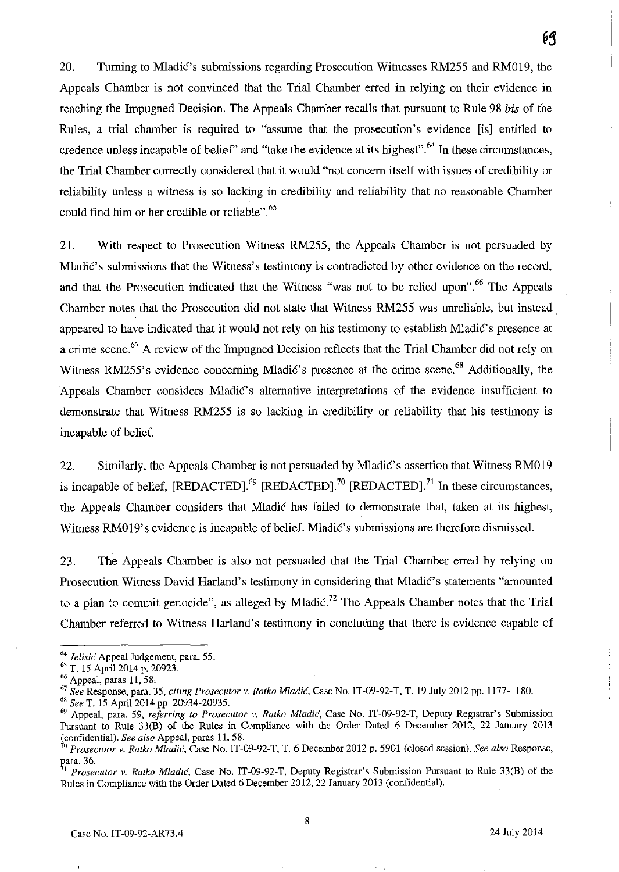20. Turning to Mladic's submissions regarding Prosecution Witnesses RM255 and RM019, the Appeals Chamber is not convinced that the Trial Chamber erred in relying on their evidence in reaching the Impugned Decision. The Appeals Chamber recalls that pursuant to Rule 98 *bis* of the Rules, a trial chamber is required to "assume that the prosecution's evidence [is] entitled to credence unless incapable of belief' and "take the evidence at its highest". 64 **In** these circumstances, the Trial Chamber correctly considered that it would "not concern itself with issues of credibility or reliability unless a witness is so lacking in credibility and reliability that no reasonable Chamber could find him or her credible or reliable".<sup>65</sup>

21. With respect to Prosecution Witness RM255 , the Appeals Chamber is not persuaded by Mladić's submissions that the Witness's testimony is contradicted by other evidence on the record, and that the Prosecution indicated that the Witness "was not to be relied upon".<sup>66</sup> The Appeals Chamber notes that the Prosecution did not state that Witness RM255 was unreliable, but instead. appeared to have indicated that it would not rely on his testimony to establish Mladić's presence at a crime scene.<sup>67</sup> A review of the Impugned Decision reflects that the Trial Chamber did not rely on Witness RM255's evidence concerning Mladić's presence at the crime scene.<sup>68</sup> Additionally, the Appeals Chamber considers Mladic's alternative interpretations of the evidence insufficient to demonstrate that Witness RM255 is so lacking in credibility or reliability that his testimony is incapable of belief.

22. Similarly, the Appeals Chamber is not persuaded by Mladić's assertion that Witness RM019 is incapable of belief,  $[REDACTED]$ <sup>69</sup>  $[REDACTED]$ <sup>70</sup>  $[REDACTED]$ <sup>71</sup> In these circumstances, the Appeals Chamber considers that Mladić has failed to demonstrate that, taken at its highest, Witness RM019's evidence is incapable of belief. Mladić's submissions are therefore dismissed.

23. The Appeals Chamber is also not persuaded that the Trial Chamber erred by relying on Prosecution Witness David Harland's testimony in considering that Mladic's statements "amounted to a plan to commit genocide", as alleged by Mladić.<sup>72</sup> The Appeals Chamber notes that the Trial Chamber referred to Witness Harland's testimony in concluding that there is evidence capable of

<sup>68</sup>*See* T. 15 Apri120l4 pp. 20934-20935.

<sup>64</sup>*lelisic* Appeal Judgement, para. 55.

<sup>65</sup> T. 15 April 2014 p. 20923.

<sup>66</sup> Appeal, paras 11, 58.

*<sup>67</sup> See* Response, para. 35, *citing Prosecutor v. Ratko Mladic,* Case No. IT-09-92-T, T. 19 July 2012 pp. 1177-1180.

<sup>&</sup>lt;sup>69</sup> Appeal, para. 59, referring to Prosecutor v. Ratko Mladić, Case No. IT-09-92-T, Deputy Registrar's Submission Pursuant to Rule 33(8) of the Rules in Compliance with the Order Dated 6 December 2012, 22 January 2013 (confidential). *See also* Appeal, paras 11,58.

*<sup>70</sup> Prosecutor v. Ratko MladiL',* Case No. IT-09-92-T, T. 6 December 2012 p. 5901 (closed session). *See also* Response,  $\frac{1}{71}$  ara. 36.

<sup>1</sup>*Prosecutor v. Ratko Mladic,* Case No. IT-09-92-T, Deputy Registrar's Submission Pursuant to Rule 33(8) of the Rules in Compliance with the Order Dated 6 December 2012, 22 January 2013 (confidential).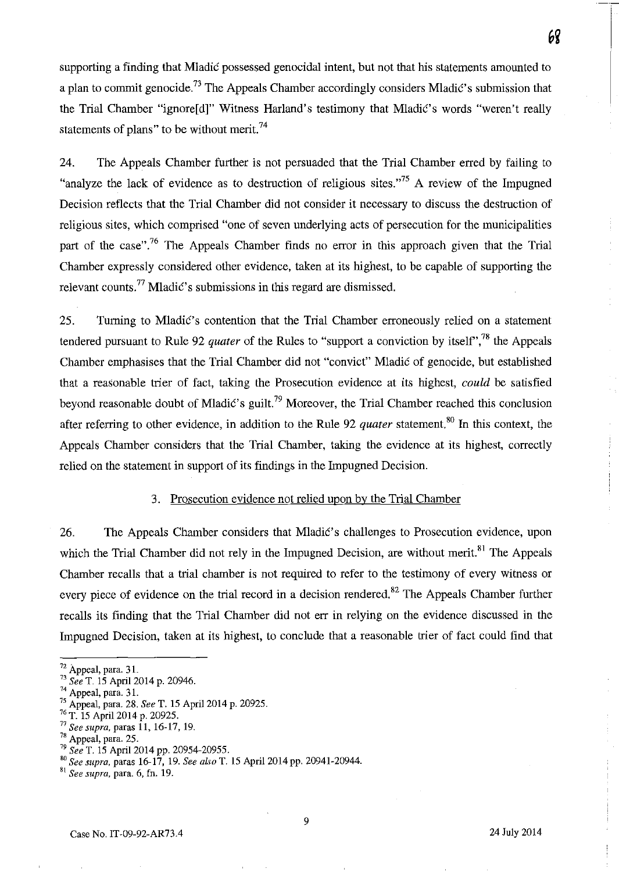supporting a finding that Mladic possessed genocidal intent, but not that his statements amounted to a plan to commit genocide.<sup>73</sup> The Appeals Chamber accordingly considers Mladic's submission that the Trial Chamber "ignore[d]" Witness Harland's testimony that Mladić's words "weren't really statements of plans" to be without merit.<sup>74</sup>

24. The Appeals Chamber further is not persuaded that the Trial Chamber erred by failing to "analyze the lack of evidence as to destruction of religious sites."<sup>75</sup> A review of the Impugned Decision reflects that the Trial Chamber did not consider it necessary to discuss the destruction of religious sites, which comprised "one of seven underlying acts of persecution for the municipalities part of the case".<sup>76</sup> The Appeals Chamber finds no error in this approach given that the Trial Chamber expressly considered other evidence, taken at its highest, to be capable of supporting the relevant counts.<sup>77</sup> Mladić's submissions in this regard are dismissed.

25. Turning to Mladić's contention that the Trial Chamber erroneously relied on a statement tendered pursuant to Rule 92 *quater* of the Rules to "support a conviction by itself', 78 the Appeals Chamber emphasises that the Trial Chamber did not "convict" Mladic of genocide, but established that a reasonable trier of fact, taking the Prosecution evidence at its highest, *could* be satisfied beyond reasonable doubt of Mladić's guilt.<sup>79</sup> Moreover, the Trial Chamber reached this conclusion after referring to other evidence, in addition to the Rule 92 *quater* statement.<sup>80</sup> In this context, the Appeals Chamber considers that the Trial Chamber, taking the evidence at its highest, correctly relied on the statement in support of its findings in the Impugned Decision.

#### 3. Prosecution evidence not relied upon by the Trial Chamber

26. The Appeals Chamber considers that Mladic's challenges to Prosecution evidence, upon which the Trial Chamber did not rely in the Impugned Decision, are without merit.<sup>81</sup> The Appeals Chamber recalls that a trial chamber is not required to refer to the testimony of every witness or every piece of evidence on the trial record in a decision rendered.<sup>82</sup> The Appeals Chamber further recalls its finding that the Trial Chamber did not err in relying on the evidence discussed in the Impugned Decision, taken at its highest, to conclude that a reasonable trier of fact could find that

 $72$  Appeal, para. 31.

<sup>73</sup>*See* T. IS April 2014 p. 20946.

 $14$  Appeal, para. 31.

<sup>15</sup> Appeal, para. 28. *See* T. IS Apri12014 p. 20925.

<sup>16</sup> T. IS April 2014 p. 20925.

*<sup>17</sup> See supra.* paras 11, 16-17, 19.

 $78$  Appeal, para. 25.

<sup>79</sup>*See* T. IS April 2014 pp. 20954-20955.

BO *See supra.* paras 16-17, 19. *See aLw* T. IS Apri12014pp. 20941-20944.

B\ *See supra.* para. 6, fn. 19.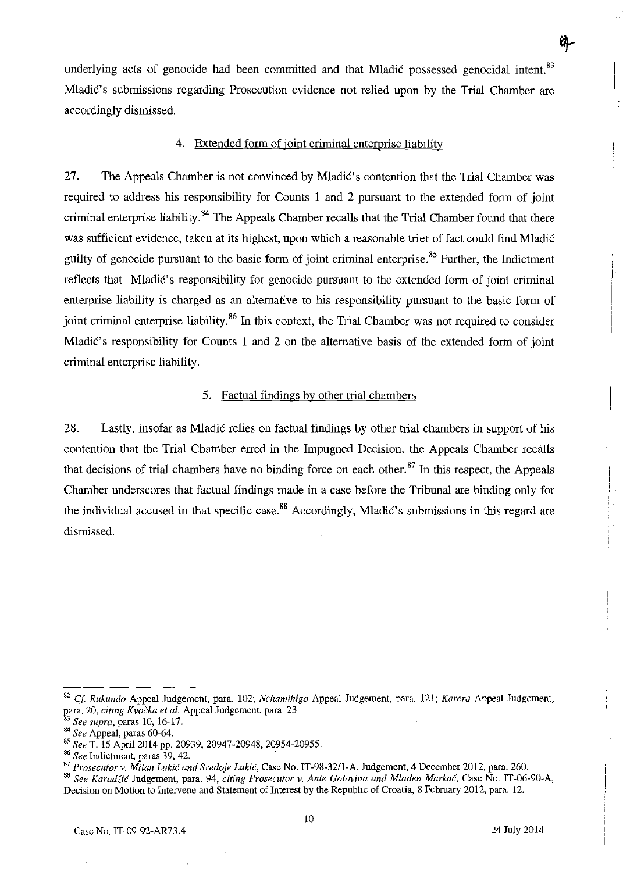underlying acts of genocide had been committed and that Mladic possessed genocidal intent.<sup>83</sup> Mladić's submissions regarding Prosecution evidence not relied upon by the Trial Chamber are accordingly dismissed.

## 4. Extended form of joint criminal enterprise liability

27. The Appeals Chamber is not convinced by Mladić's contention that the Trial Chamber was required to address his responsibility for Counts I and 2 pursuant to the extended form of joint criminal enterprise liability. 84 The Appeals Chamber recalls that the Trial Chamber found that there was sufficient evidence, taken at its highest, upon which a reasonable trier of fact could find Mladić guilty of genocide pursuant to the basic form of joint criminal enterprise.<sup>85</sup> Further, the Indictment reflects that Mladic's responsibility for genocide pursuant to the extended form of joint criminal enterprise liability is charged as an alternative to his responsibility pursuant to the basic form of joint criminal enterprise liability.<sup>86</sup> In this context, the Trial Chamber was not required to consider Mladić's responsibility for Counts 1 and 2 on the alternative basis of the extended form of joint criminal enterprise liability.

## 5. Factual findings by other trial chambers

28. Lastly, insofar as Mladic relies on factual findings by other trial chambers in support of his contention that the Trial Chamber erred in the Impugned Decision, the Appeals Chamber recalls that decisions of trial chambers have no binding force on each other. 87 **In** this respect, the Appeals Chamber underscores that factual findings made in a case before the Tribunal are binding only for the individual accused in that specific case.<sup>88</sup> Accordingly, Mladić's submissions in this regard are dismissed.

<sup>82</sup>*q. Rukundo* Appeal Judgement, para. 102; *Nchamihigo* Appeal Judgement, para. 121; *Karera* Appeal Judgement, para. 20, *citing Kvočka et al.* Appeal Judgement, para. 23.

<sup>3</sup>*See supra,* paras 10, 16·17.

<sup>84</sup>*See* Appeal, paras 60-64.

*<sup>&</sup>quot;.See* T. 15 April 2014 pp. 20939, 20947-20948, 20954-20955.

<sup>86</sup>*See* Indictment, paras 39, 42.

<sup>87</sup>*Prosecutor* v. *Milan Lukic and Sredoje Lukic,* Case No. *IT-98-32/1-A,* Judgement, 4 December 2012, para. 260.

*<sup>&</sup>quot; See Karadiic* Judgement, para. 94, *citing Prosecutor v. Ante Gotovina and Mladen Markac,* Case No. IT-06-90-A, Decision on Motion to Intervene and Statement of Interest by the Republic of Croatia, 8 February 2012, para. 12.